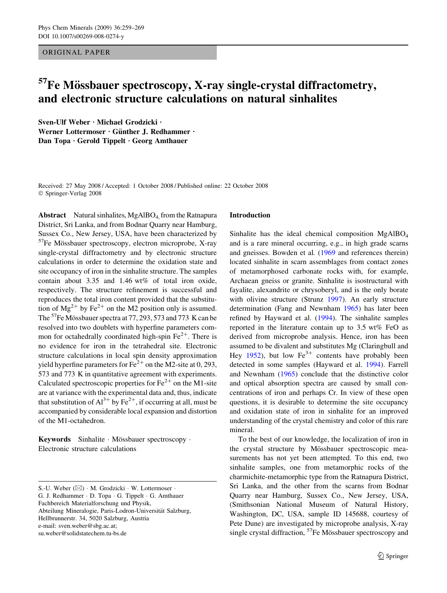ORIGINAL PAPER

# $57$ Fe Mössbauer spectroscopy, X-ray single-crystal diffractometry, and electronic structure calculations on natural sinhalites

Sven-Ulf Weber · Michael Grodzicki · Werner Lottermoser · Günther J. Redhammer · Dan Topa  $\cdot$  Gerold Tippelt  $\cdot$  Georg Amthauer

Received: 27 May 2008 / Accepted: 1 October 2008 / Published online: 22 October 2008 Springer-Verlag 2008

**Abstract** Natural sinhalites,  $MgAlBO<sub>4</sub>$  from the Ratnapura District, Sri Lanka, and from Bodnar Quarry near Hamburg, Sussex Co., New Jersey, USA, have been characterized by  $57$ Fe Mössbauer spectroscopy, electron microprobe, X-ray single-crystal diffractometry and by electronic structure calculations in order to determine the oxidation state and site occupancy of iron in the sinhalite structure. The samples contain about 3.35 and 1.46 wt% of total iron oxide, respectively. The structure refinement is successful and reproduces the total iron content provided that the substitution of  $Mg^{2+}$  by Fe<sup>2+</sup> on the M2 position only is assumed. The  ${}^{57}$ Fe Mössbauer spectra at 77, 293, 573 and 773 K can be resolved into two doublets with hyperfine parameters common for octahedrally coordinated high-spin  $Fe^{2+}$ . There is no evidence for iron in the tetrahedral site. Electronic structure calculations in local spin density approximation yield hyperfine parameters for  $Fe^{2+}$  on the M2-site at 0, 293, 573 and 773 K in quantitative agreement with experiments. Calculated spectroscopic properties for  $Fe^{2+}$  on the M1-site are at variance with the experimental data and, thus, indicate that substitution of  $Al^{3+}$  by Fe<sup>2+</sup>, if occurring at all, must be accompanied by considerable local expansion and distortion of the M1-octahedron.

Keywords Sinhalite · Mössbauer spectroscopy · Electronic structure calculations

# Introduction

Sinhalite has the ideal chemical composition MgAlBO4 and is a rare mineral occurring, e.g., in high grade scarns and gneisses. Bowden et al. [\(1969](#page-9-0) and references therein) located sinhalite in scarn assemblages from contact zones of metamorphosed carbonate rocks with, for example, Archaean gneiss or granite. Sinhalite is isostructural with fayalite, alexandrite or chrysoberyl, and is the only borate with olivine structure (Strunz [1997](#page-10-0)). An early structure determination (Fang and Newnham [1965\)](#page-10-0) has later been refined by Hayward et al. [\(1994](#page-10-0)). The sinhalite samples reported in the literature contain up to 3.5 wt% FeO as derived from microprobe analysis. Hence, iron has been assumed to be divalent and substitutes Mg (Claringbull and Hey [1952\)](#page-10-0), but low  $Fe<sup>3+</sup>$  contents have probably been detected in some samples (Hayward et al. [1994](#page-10-0)). Farrell and Newnham ([1965\)](#page-10-0) conclude that the distinctive color and optical absorption spectra are caused by small concentrations of iron and perhaps Cr. In view of these open questions, it is desirable to determine the site occupancy and oxidation state of iron in sinhalite for an improved understanding of the crystal chemistry and color of this rare mineral.

To the best of our knowledge, the localization of iron in the crystal structure by Mössbauer spectroscopic measurements has not yet been attempted. To this end, two sinhalite samples, one from metamorphic rocks of the charmichite-metamorphic type from the Ratnapura District, Sri Lanka, and the other from the scarns from Bodnar Quarry near Hamburg, Sussex Co., New Jersey, USA, (Smithsonian National Museum of Natural History, Washington, DC, USA, sample ID 145688, courtesy of Pete Dune) are investigated by microprobe analysis, X-ray single crystal diffraction,  ${}^{57}Fe$  Mössbauer spectroscopy and

S.-U. Weber ( $\boxtimes$ ) · M. Grodzicki · W. Lottermoser · G. J. Redhammer · D. Topa · G. Tippelt · G. Amthauer Fachbereich Materialforschung und Physik, Abteilung Mineralogie, Paris-Lodron-Universität Salzburg, Hellbrunnerstr. 34, 5020 Salzburg, Austria e-mail: sven.weber@sbg.ac.at; su.weber@solidstatechem.tu-bs.de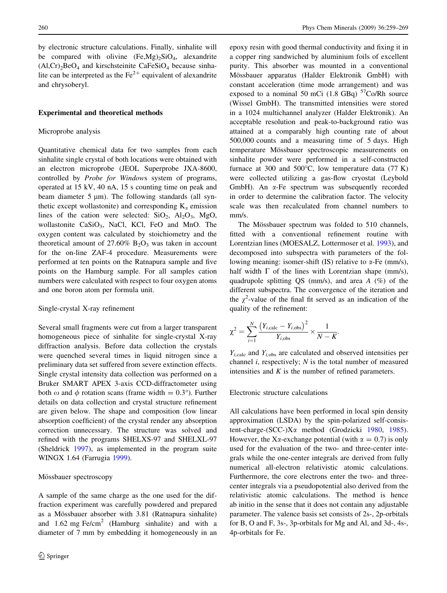by electronic structure calculations. Finally, sinhalite will be compared with olivine  $(Fe, Mg)_2SiO<sub>4</sub>$ , alexandrite  $(AI,Cr)$ <sub>2</sub>BeO<sub>4</sub> and kirschsteinite CaFeSiO<sub>4</sub> because sinhalite can be interpreted as the  $Fe^{2+}$  equivalent of alexandrite and chrysoberyl.

### Experimental and theoretical methods

# Microprobe analysis

Quantitative chemical data for two samples from each sinhalite single crystal of both locations were obtained with an electron microprobe (JEOL Superprobe JXA-8600, controlled by Probe for Windows system of programs, operated at 15 kV, 40 nA, 15 s counting time on peak and beam diameter  $5 \mu m$ ). The following standards (all synthetic except wollastonite) and corresponding  $K_{\alpha}$  emission lines of the cation were selected:  $SiO_2$ ,  $Al_2O_3$ ,  $MgO$ , wollastonite CaSiO<sub>3</sub>, NaCl, KCl, FeO and MnO. The oxygen content was calculated by stoichiometry and the theoretical amount of 27.60%  $B_2O_3$  was taken in account for the on-line ZAF-4 procedure. Measurements were performed at ten points on the Ratnapura sample and five points on the Hamburg sample. For all samples cation numbers were calculated with respect to four oxygen atoms and one boron atom per formula unit.

### Single-crystal X-ray refinement

Several small fragments were cut from a larger transparent homogeneous piece of sinhalite for single-crystal X-ray diffraction analysis. Before data collection the crystals were quenched several times in liquid nitrogen since a preliminary data set suffered from severe extinction effects. Single crystal intensity data collection was performed on a Bruker SMART APEX 3-axis CCD-diffractometer using both  $\omega$  and  $\phi$  rotation scans (frame width = 0.3°). Further details on data collection and crystal structure refinement are given below. The shape and composition (low linear absorption coefficient) of the crystal render any absorption correction unnecessary. The structure was solved and refined with the programs SHELXS-97 and SHELXL-97 (Sheldrick [1997\)](#page-10-0), as implemented in the program suite WINGX 1.64 (Farrugia [1999\)](#page-10-0).

#### Mössbauer spectroscopy

A sample of the same charge as the one used for the diffraction experiment was carefully powdered and prepared as a Mössbauer absorber with 3.81 (Ratnapura sinhalite) and 1.62 mg Fe/cm<sup>2</sup> (Hamburg sinhalite) and with a diameter of 7 mm by embedding it homogeneously in an epoxy resin with good thermal conductivity and fixing it in a copper ring sandwiched by aluminium foils of excellent purity. This absorber was mounted in a conventional Mössbauer apparatus (Halder Elektronik GmbH) with constant acceleration (time mode arrangement) and was exposed to a nominal 50 mCi (1.8 GBq)  ${}^{57}$ Co/Rh source (Wissel GmbH). The transmitted intensities were stored in a 1024 multichannel analyzer (Halder Elektronik). An acceptable resolution and peak-to-background ratio was attained at a comparably high counting rate of about 500,000 counts and a measuring time of 5 days. High temperature Mössbauer spectroscopic measurements on sinhalite powder were performed in a self-constructed furnace at 300 and 500°C, low temperature data  $(77 \text{ K})$ were collected utilizing a gas-flow cryostat (Leybold GmbH). An  $\alpha$ -Fe spectrum was subsequently recorded in order to determine the calibration factor. The velocity scale was then recalculated from channel numbers to mm/s.

The Mössbauer spectrum was folded to 510 channels, fitted with a conventional refinement routine with Lorentzian lines (MOESALZ, Lottermoser et al. [1993\)](#page-10-0), and decomposed into subspectra with parameters of the following meaning: isomer-shift (IS) relative to  $\alpha$ -Fe (mm/s), half width  $\Gamma$  of the lines with Lorentzian shape (mm/s), quadrupole splitting QS (mm/s), and area  $A(\%)$  of the different subspectra. The convergence of the iteration and the  $\chi^2$ -value of the final fit served as an indication of the quality of the refinement:

$$
\chi^2 = \sum_{i=1}^N \frac{\left(Y_{i,\text{calc}} - Y_{i,\text{obs}}\right)^2}{Y_{i,\text{obs}}} \times \frac{1}{N - K}.
$$

 $Y_{i,\text{calc}}$  and  $Y_{i,\text{obs}}$  are calculated and observed intensities per channel  $i$ , respectively;  $N$  is the total number of measured intensities and  $K$  is the number of refined parameters.

# Electronic structure calculations

All calculations have been performed in local spin density approximation (LSDA) by the spin-polarized self-consistent-charge-(SCC-) $X\alpha$  method (Grodzicki [1980](#page-10-0), [1985](#page-10-0)). However, the X $\alpha$ -exchange potential (with  $\alpha = 0.7$ ) is only used for the evaluation of the two- and three-center integrals while the one-center integrals are derived from fully numerical all-electron relativistic atomic calculations. Furthermore, the core electrons enter the two- and threecenter integrals via a pseudopotential also derived from the relativistic atomic calculations. The method is hence ab initio in the sense that it does not contain any adjustable parameter. The valence basis set consists of 2s-, 2p-orbitals for B, O and F, 3s-, 3p-orbitals for Mg and Al, and 3d-, 4s-, 4p-orbitals for Fe.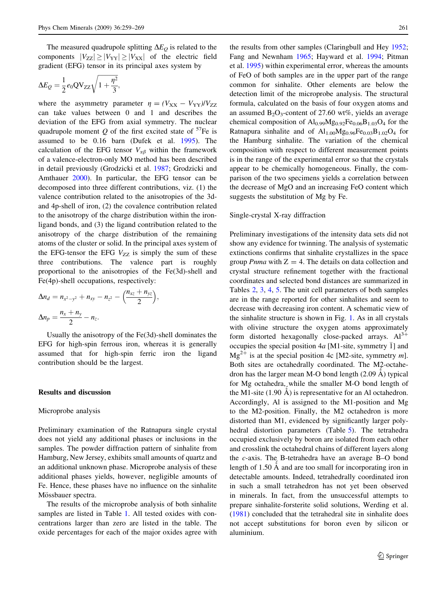The measured quadrupole splitting  $\Delta E_O$  is related to the components  $|V_{ZZ}| \ge |V_{YY}| \ge |V_{XX}|$  of the electric field gradient (EFG) tensor in its principal axes system by

$$
\Delta E_Q = \frac{1}{2} e_0 \text{QV}_{ZZ} \sqrt{1 + \frac{\eta^2}{3}},
$$

where the asymmetry parameter  $\eta = (V_{XX} - V_{YY})/V_{ZZ}$ can take values between 0 and 1 and describes the deviation of the EFG from axial symmetry. The nuclear quadrupole moment  $Q$  of the first excited state of  $57$ Fe is assumed to be 0.16 barn (Dufek et al. [1995\)](#page-10-0). The calculation of the EFG tensor  $V_{\alpha\beta}$  within the framework of a valence-electron-only MO method has been described in detail previously (Grodzicki et al. [1987;](#page-10-0) Grodzicki and Amthauer [2000\)](#page-10-0). In particular, the EFG tensor can be decomposed into three different contributions, viz. (1) the valence contribution related to the anisotropies of the 3dand 4p-shell of iron, (2) the covalence contribution related to the anisotropy of the charge distribution within the ironligand bonds, and (3) the ligand contribution related to the anisotropy of the charge distribution of the remaining atoms of the cluster or solid. In the principal axes system of the EFG-tensor the EFG  $V_{ZZ}$  is simply the sum of these three contributions. The valence part is roughly proportional to the anisotropies of the Fe(3d)-shell and Fe(4p)-shell occupations, respectively:

$$
\Delta n_d = n_{x^2-y^2} + n_{xy} - n_{z^2} - \left(\frac{n_{xz} + n_{yz}}{2}\right),
$$
  

$$
\Delta n_p = \frac{n_x + n_y}{2} - n_z.
$$

Usually the anisotropy of the Fe(3d)-shell dominates the EFG for high-spin ferrous iron, whereas it is generally assumed that for high-spin ferric iron the ligand contribution should be the largest.

# Results and discussion

#### Microprobe analysis

Preliminary examination of the Ratnapura single crystal does not yield any additional phases or inclusions in the samples. The powder diffraction pattern of sinhalite from Hamburg, New Jersey, exhibits small amounts of quartz and an additional unknown phase. Microprobe analysis of these additional phases yields, however, negligible amounts of Fe. Hence, these phases have no influence on the sinhalite Mössbauer spectra.

The results of the microprobe analysis of both sinhalite samples are listed in Table [1.](#page-3-0) All tested oxides with concentrations larger than zero are listed in the table. The oxide percentages for each of the major oxides agree with

the results from other samples (Claringbull and Hey [1952](#page-10-0); Fang and Newnham [1965;](#page-10-0) Hayward et al. [1994;](#page-10-0) Pitman et al. [1995\)](#page-10-0) within experimental error, whereas the amounts of FeO of both samples are in the upper part of the range common for sinhalite. Other elements are below the detection limit of the microprobe analysis. The structural formula, calculated on the basis of four oxygen atoms and an assumed  $B_2O_3$ -content of 27.60 wt%, yields an average chemical composition of  $Al_{0.99}Mg_{0.92}Fe_{0.06}B_{1.03}O_4$  for the Ratnapura sinhalite and of  $Al_{1.00}Mg_{0.96}Fe_{0.03}B_{1.02}O_4$  for the Hamburg sinhalite. The variation of the chemical composition with respect to different measurement points is in the range of the experimental error so that the crystals appear to be chemically homogeneous. Finally, the comparison of the two specimens yields a correlation between the decrease of MgO and an increasing FeO content which suggests the substitution of Mg by Fe.

# Single-crystal X-ray diffraction

Preliminary investigations of the intensity data sets did not show any evidence for twinning. The analysis of systematic extinctions confirms that sinhalite crystallizes in the space group *Pnma* with  $Z = 4$ . The details on data collection and crystal structure refinement together with the fractional coordinates and selected bond distances are summarized in Tables [2](#page-4-0), [3,](#page-5-0) [4](#page-5-0), [5.](#page-6-0) The unit cell parameters of both samples are in the range reported for other sinhalites and seem to decrease with decreasing iron content. A schematic view of the sinhalite structure is shown in Fig. [1](#page-7-0). As in all crystals with olivine structure the oxygen atoms approximately form distorted hexagonally close-packed arrays.  $Al^{3+}$ occupies the special position  $4a$  [M1-site, symmetry  $\bar{1}$ ] and  $Mg^{2+}$  is at the special position 4c [M2-site, symmetry *m*]. Both sites are octahedrally coordinated. The M2-octahe $d$  dron has the larger mean M-O bond length (2.09  $\AA$ ) typical for Mg octahedra, while the smaller M-O bond length of the M1-site  $(1.90 \text{ Å})$  is representative for an Al octahedron. Accordingly, Al is assigned to the M1-position and Mg to the M2-position. Finally, the M2 octahedron is more distorted than M1, evidenced by significantly larger polyhedral distortion parameters (Table [5\)](#page-6-0). The tetrahedra occupied exclusively by boron are isolated from each other and crosslink the octahedral chains of different layers along the c-axis. The B-tetrahedra have an average B–O bond length of  $1.50 \text{ Å}$  and are too small for incorporating iron in detectable amounts. Indeed, tetrahedrally coordinated iron in such a small tetrahedron has not yet been observed in minerals. In fact, from the unsuccessful attempts to prepare sinhalite-forsterite solid solutions, Werding et al. [\(1981](#page-10-0)) concluded that the tetrahedral site in sinhalite does not accept substitutions for boron even by silicon or aluminium.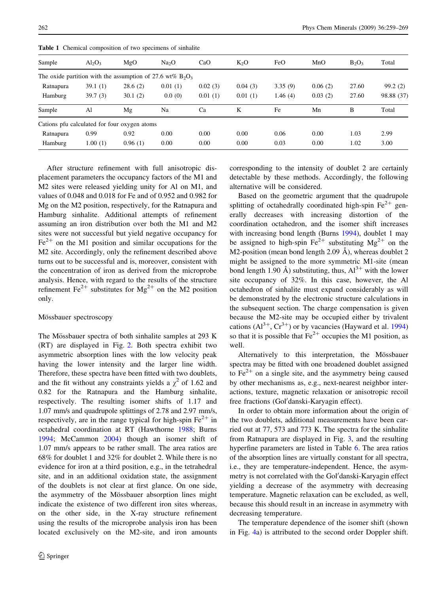| Sample                                                       | $Al_2O_3$ | MgO     | Na <sub>2</sub> O | CaO     | $K_2O$  | FeO        | MnO     | $B_2O_3$ | Total      |
|--------------------------------------------------------------|-----------|---------|-------------------|---------|---------|------------|---------|----------|------------|
| The oxide partition with the assumption of 27.6 wt% $B_2O_3$ |           |         |                   |         |         |            |         |          |            |
| Ratnapura                                                    | 39.1(1)   | 28.6(2) | 0.01(1)           | 0.02(3) | 0.04(3) | 3.35(9)    | 0.06(2) | 27.60    | 99.2(2)    |
| Hamburg                                                      | 39.7(3)   | 30.1(2) | 0.0(0)            | 0.01(1) | 0.01(1) | 1.46 $(4)$ | 0.03(2) | 27.60    | 98.88 (37) |
| Sample                                                       | Al        | Mg      | Na                | Ca      | K       | Fe         | Mn      | B        | Total      |
| Cations pfu calculated for four oxygen atoms                 |           |         |                   |         |         |            |         |          |            |
| Ratnapura                                                    | 0.99      | 0.92    | 0.00              | 0.00    | 0.00    | 0.06       | 0.00    | 1.03     | 2.99       |
| Hamburg                                                      | 1.00(1)   | 0.96(1) | 0.00              | 0.00    | 0.00    | 0.03       | 0.00    | 1.02     | 3.00       |

<span id="page-3-0"></span>Table 1 Chemical composition of two specimens of sinhalite

After structure refinement with full anisotropic displacement parameters the occupancy factors of the M1 and M2 sites were released yielding unity for Al on M1, and values of 0.048 and 0.018 for Fe and of 0.952 and 0.982 for Mg on the M2 position, respectively, for the Ratnapura and Hamburg sinhalite. Additional attempts of refinement assuming an iron distribution over both the M1 and M2 sites were not successful but yield negative occupancy for  $Fe<sup>2+</sup>$  on the M1 position and similar occupations for the M2 site. Accordingly, only the refinement described above turns out to be successful and is, moreover, consistent with the concentration of iron as derived from the microprobe analysis. Hence, with regard to the results of the structure refinement Fe<sup>2+</sup> substitutes for Mg<sup>2+</sup> on the M2 position only.

### Mössbauer spectroscopy

The Mössbauer spectra of both sinhalite samples at 293 K (RT) are displayed in Fig. [2.](#page-7-0) Both spectra exhibit two asymmetric absorption lines with the low velocity peak having the lower intensity and the larger line width. Therefore, these spectra have been fitted with two doublets, and the fit without any constraints yields a  $\chi^2$  of 1.62 and 0.82 for the Ratnapura and the Hamburg sinhalite, respectively. The resulting isomer shifts of 1.17 and 1.07 mm/s and quadrupole splittings of 2.78 and 2.97 mm/s, respectively, are in the range typical for high-spin  $Fe<sup>2+</sup>$  in octahedral coordination at RT (Hawthorne [1988](#page-10-0); Burns [1994;](#page-9-0) McCammon [2004](#page-10-0)) though an isomer shift of 1.07 mm/s appears to be rather small. The area ratios are 68% for doublet 1 and 32% for doublet 2. While there is no evidence for iron at a third position, e.g., in the tetrahedral site, and in an additional oxidation state, the assignment of the doublets is not clear at first glance. On one side, the asymmetry of the Mössbauer absorption lines might indicate the existence of two different iron sites whereas, on the other side, in the X-ray structure refinement using the results of the microprobe analysis iron has been located exclusively on the M2-site, and iron amounts corresponding to the intensity of doublet 2 are certainly detectable by these methods. Accordingly, the following alternative will be considered.

Based on the geometric argument that the quadrupole splitting of octahedrally coordinated high-spin  $Fe^{2+}$  generally decreases with increasing distortion of the coordination octahedron, and the isomer shift increases with increasing bond length (Burns [1994](#page-9-0)), doublet 1 may be assigned to high-spin  $Fe^{2+}$  substituting  $Mg^{2+}$  on the M2-position (mean bond length 2.09  $\AA$ ), whereas doublet 2 might be assigned to the more symmetric M1-site (mean bond length 1.90 Å) substituting, thus,  $Al^{3+}$  with the lower site occupancy of 32%. In this case, however, the Al octahedron of sinhalite must expand considerably as will be demonstrated by the electronic structure calculations in the subsequent section. The charge compensation is given because the M2-site may be occupied either by trivalent cations  $(A1^{3+}, Cr^{3+})$  or by vacancies (Hayward et al. [1994\)](#page-10-0) so that it is possible that  $Fe^{2+}$  occupies the M1 position, as well.

Alternatively to this interpretation, the Mössbauer spectra may be fitted with one broadened doublet assigned to  $Fe^{2+}$  on a single site, and the asymmetry being caused by other mechanisms as, e.g., next-nearest neighbor interactions, texture, magnetic relaxation or anisotropic recoil free fractions (Gol'danski-Karyagin effect).

In order to obtain more information about the origin of the two doublets, additional measurements have been carried out at 77, 573 and 773 K. The spectra for the sinhalite from Ratnapura are displayed in Fig. [3](#page-7-0), and the resulting hyperfine parameters are listed in Table [6](#page-8-0). The area ratios of the absorption lines are virtually constant for all spectra, i.e., they are temperature-independent. Hence, the asymmetry is not correlated with the Gol'danski-Karyagin effect yielding a decrease of the asymmetry with decreasing temperature. Magnetic relaxation can be excluded, as well, because this should result in an increase in asymmetry with decreasing temperature.

The temperature dependence of the isomer shift (shown in Fig. [4a](#page-9-0)) is attributed to the second order Doppler shift.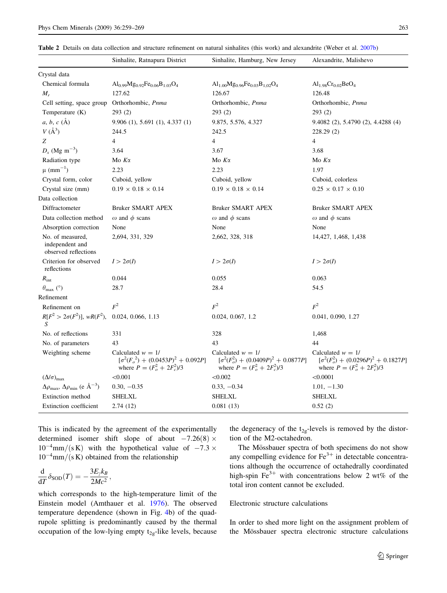<span id="page-4-0"></span>

|  |  |  |  |  |  |  |  |  |  | Table 2 Details on data collection and structure refinement on natural sinhalites (this work) and alexandrite (Weber et al. 2007b) |  |  |
|--|--|--|--|--|--|--|--|--|--|------------------------------------------------------------------------------------------------------------------------------------|--|--|
|--|--|--|--|--|--|--|--|--|--|------------------------------------------------------------------------------------------------------------------------------------|--|--|

|                                                                       | Sinhalite, Ratnapura District                                                                       | Sinhalite, Hamburg, New Jersey                                                                       | Alexandrite, Malishevo                                                                               |
|-----------------------------------------------------------------------|-----------------------------------------------------------------------------------------------------|------------------------------------------------------------------------------------------------------|------------------------------------------------------------------------------------------------------|
| Crystal data                                                          |                                                                                                     |                                                                                                      |                                                                                                      |
| Chemical formula                                                      | Al <sub>0.99</sub> Mg <sub>0.92</sub> Fe <sub>0.06</sub> B <sub>1.03</sub> O <sub>4</sub>           | Al <sub>1.00</sub> Mg <sub>0.96</sub> Fe <sub>0.03</sub> B <sub>1,02</sub> O <sub>4</sub>            | $Al_{1.98}Cr_{0.02}BeO_4$                                                                            |
| $M_r$                                                                 | 127.62                                                                                              | 126.67                                                                                               | 126.48                                                                                               |
| Cell setting, space group                                             | Orthorhombic, Pnma                                                                                  | Orthorhombic, Pnma                                                                                   | Orthorhombic, Pnma                                                                                   |
| Temperature $(K)$                                                     | 293 (2)                                                                                             | 293(2)                                                                                               | 293(2)                                                                                               |
| $a, b, c (\AA)$                                                       | 9.906 (1), 5.691 (1), 4.337 (1)                                                                     | 9.875, 5.576, 4.327                                                                                  | $9.4082$ (2), $5.4790$ (2), $4.4288$ (4)                                                             |
| $V(\AA^3)$                                                            | 244.5                                                                                               | 242.5                                                                                                | 228.29(2)                                                                                            |
| Z                                                                     | $\overline{4}$                                                                                      | $\overline{4}$                                                                                       | $\overline{4}$                                                                                       |
| $D_x$ (Mg m <sup>-3</sup> )                                           | 3.64                                                                                                | 3.67                                                                                                 | 3.68                                                                                                 |
| Radiation type                                                        | Mo $K\alpha$                                                                                        | Mo $K\alpha$                                                                                         | Mo $K\alpha$                                                                                         |
| $\mu$ (mm <sup>-1</sup> )                                             | 2.23                                                                                                | 2.23                                                                                                 | 1.97                                                                                                 |
| Crystal form, color                                                   | Cuboid, yellow                                                                                      | Cuboid, yellow                                                                                       | Cuboid, colorless                                                                                    |
| Crystal size (mm)                                                     | $0.19 \times 0.18 \times 0.14$                                                                      | $0.19 \times 0.18 \times 0.14$                                                                       | $0.25 \times 0.17 \times 0.10$                                                                       |
| Data collection                                                       |                                                                                                     |                                                                                                      |                                                                                                      |
| Diffractometer                                                        | <b>Bruker SMART APEX</b>                                                                            | <b>Bruker SMART APEX</b>                                                                             | <b>Bruker SMART APEX</b>                                                                             |
| Data collection method                                                | $\omega$ and $\phi$ scans                                                                           | $\omega$ and $\phi$ scans                                                                            | $\omega$ and $\phi$ scans                                                                            |
| Absorption correction                                                 | None                                                                                                | None                                                                                                 | None                                                                                                 |
| No. of measured,<br>independent and<br>observed reflections           | 2,694, 331, 329                                                                                     | 2,662, 328, 318                                                                                      | 14, 427, 1, 468, 1, 438                                                                              |
| Criterion for observed<br>reflections                                 | $I > 2\sigma(I)$                                                                                    | $I > 2\sigma(I)$                                                                                     | $I > 2\sigma(I)$                                                                                     |
| $R_{\rm int}$                                                         | 0.044                                                                                               | 0.055                                                                                                | 0.063                                                                                                |
| $\theta_{\text{max}}$ (°)                                             | 28.7                                                                                                | 28.4                                                                                                 | 54.5                                                                                                 |
| Refinement                                                            |                                                                                                     |                                                                                                      |                                                                                                      |
| Refinement on                                                         | $F^2$                                                                                               | $F^2$                                                                                                | $F^2$                                                                                                |
| $R[F^2 > 2\sigma(F^2)], wR(F^2),$<br>S                                | 0.024, 0.066, 1.13                                                                                  | 0.024, 0.067, 1.2                                                                                    | 0.041, 0.090, 1.27                                                                                   |
| No. of reflections                                                    | 331                                                                                                 | 328                                                                                                  | 1,468                                                                                                |
| No. of parameters                                                     | 43                                                                                                  | 43                                                                                                   | 44                                                                                                   |
| Weighting scheme                                                      | Calculated $w = 1/$<br>$[\sigma^2(F_o^2) + (0.0453P)^2 + 0.092P]$<br>where $P = (F_o^2 + 2F_c^2)/3$ | Calculated $w = 1/$<br>$[\sigma^2(F_o^2) + (0.0409P)^2 + 0.0877P]$<br>where $P = (F_o^2 + 2F_c^2)/3$ | Calculated $w = 1/$<br>$[\sigma^2(F_o^2) + (0.0296P)^2 + 0.1827P]$<br>where $P = (F_o^2 + 2F_c^2)/3$ |
| $(\Delta/\sigma)_{\rm max}$                                           | < 0.001                                                                                             | < 0.002                                                                                              | < 0.0001                                                                                             |
| $\Delta\rho_{\text{max}}$ , $\Delta\rho_{\text{min}}$ (e $\AA^{-3}$ ) | $0.30, -0.35$                                                                                       | $0.33, -0.34$                                                                                        | $1.01, -1.30$                                                                                        |
| Extinction method                                                     | <b>SHELXL</b>                                                                                       | <b>SHELXL</b>                                                                                        | <b>SHELXL</b>                                                                                        |
| Extinction coefficient                                                | 2.74(12)                                                                                            | 0.081(13)                                                                                            | 0.52(2)                                                                                              |

This is indicated by the agreement of the experimentally determined isomer shift slope of about  $-7.26(8) \times$  $10^{-4}$ mm/(s K) with the hypothetical value of  $-7.3 \times$  $10^{-4}$ mm/(s K) obtained from the relationship

$$
\frac{\mathrm{d}}{\mathrm{d}T}\delta_{\mathrm{SOD}}(T)=-\frac{3E_{\gamma}k_B}{2Mc^2},
$$

which corresponds to the high-temperature limit of the Einstein model (Amthauer et al. [1976\)](#page-9-0). The observed temperature dependence (shown in Fig. [4b](#page-9-0)) of the quadrupole splitting is predominantly caused by the thermal occupation of the low-lying empty  $t_{2g}$ -like levels, because

the degeneracy of the  $t_{2g}$ -levels is removed by the distortion of the M2-octahedron.

The Mössbauer spectra of both specimens do not show any compelling evidence for  $Fe^{3+}$  in detectable concentrations although the occurrence of octahedrally coordinated high-spin Fe<sup>3+</sup> with concentrations below 2 wt% of the total iron content cannot be excluded.

# Electronic structure calculations

In order to shed more light on the assignment problem of the Mössbauer spectra electronic structure calculations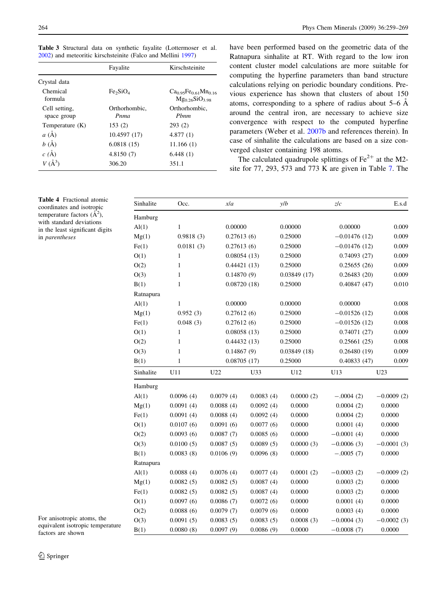<span id="page-5-0"></span>Table 3 Structural data on synthetic fayalite (Lottermoser et al. [2002\)](#page-10-0) and meteoritic kirschsteinite (Falco and Mellini [1997\)](#page-10-0)

|                              | Fayalite                         | Kirschsteinite                                                   |
|------------------------------|----------------------------------|------------------------------------------------------------------|
| Crystal data                 |                                  |                                                                  |
| Chemical<br>formula          | Fe <sub>2</sub> SiO <sub>4</sub> | $Ca0.95Fe0.61Mn0.16$<br>$Mg_0$ <sub>26</sub> SiO <sub>3.98</sub> |
| Cell setting,<br>space group | Orthorhombic.<br>Pnma            | Orthorhombic,<br>Phnm                                            |
| Temperature $(K)$            | 153(2)                           | 293(2)                                                           |
| $a(\AA)$                     | 10.4597 (17)                     | 4.877(1)                                                         |
| b(A)                         | 6.0818(15)                       | 11.166(1)                                                        |
| $c(\AA)$                     | 4.8150(7)                        | 6.448(1)                                                         |
| $V(A^3)$                     | 306.20                           | 351.1                                                            |

have been performed based on the geometric data of the Ratnapura sinhalite at RT. With regard to the low iron content cluster model calculations are more suitable for computing the hyperfine parameters than band structure calculations relying on periodic boundary conditions. Previous experience has shown that clusters of about 150 atoms, corresponding to a sphere of radius about  $5-6$  Å around the central iron, are necessary to achieve size convergence with respect to the computed hyperfine parameters (Weber et al. [2007b](#page-10-0) and references therein). In case of sinhalite the calculations are based on a size converged cluster containing 198 atoms.

The calculated quadrupole splittings of  $\text{Fe}^{2+}$  at the M2site for 77, 293, 573 and 773 K are given in Table [7.](#page-9-0) The

| Sinhalite        | Occ.         | xla         |           | y/b         | z/c            | E.s.d        |
|------------------|--------------|-------------|-----------|-------------|----------------|--------------|
| Hamburg          |              |             |           |             |                |              |
| Al(1)            | $\mathbf{1}$ | 0.00000     |           | 0.00000     | 0.00000        | 0.009        |
| Mg(1)            | 0.9818(3)    | 0.27613(6)  |           | 0.25000     | $-0.01476(12)$ | 0.009        |
| Fe(1)            | 0.0181(3)    | 0.27613(6)  |           | 0.25000     | $-0.01476(12)$ | 0.009        |
| O(1)             | $\mathbf{1}$ | 0.08054(13) |           | 0.25000     | 0.74093(27)    | 0.009        |
| O(2)             | 1            | 0.44421(13) |           | 0.25000     | 0.25655(26)    | 0.009        |
| O(3)             | 1            | 0.14870(9)  |           | 0.03849(17) | 0.26483(20)    | 0.009        |
| B(1)             | $\mathbf{1}$ | 0.08720(18) |           | 0.25000     | 0.40847(47)    | 0.010        |
| Ratnapura        |              |             |           |             |                |              |
| $\mathrm{Al}(1)$ | $\mathbf{1}$ | 0.00000     |           | 0.00000     | 0.00000        | 0.008        |
| Mg(1)            | 0.952(3)     | 0.27612(6)  |           | 0.25000     | $-0.01526(12)$ | 0.008        |
| Fe(1)            | 0.048(3)     | 0.27612(6)  |           | 0.25000     | $-0.01526(12)$ | 0.008        |
| O(1)             | 1            | 0.08058(13) |           | 0.25000     | 0.74071(27)    | 0.009        |
| O(2)             | 1            | 0.44432(13) |           | 0.25000     | 0.25661(25)    | 0.008        |
| O(3)             | 1            | 0.14867(9)  |           | 0.03849(18) | 0.26480(19)    | 0.009        |
| B(1)             | 1            | 0.08705(17) |           | 0.25000     | 0.40833(47)    | 0.009        |
| Sinhalite        | U11          | U22         | U33       | U12         | U13            | U23          |
| Hamburg          |              |             |           |             |                |              |
| $\text{Al}(1)$   | 0.0096(4)    | 0.0079(4)   | 0.0083(4) | 0.0000(2)   | $-.0004(2)$    | $-0.0009(2)$ |
| Mg(1)            | 0.0091(4)    | 0.0088(4)   | 0.0092(4) | 0.0000      | 0.0004(2)      | 0.0000       |
| Fe(1)            | 0.0091(4)    | 0.0088(4)   | 0.0092(4) | 0.0000      | 0.0004(2)      | 0.0000       |
| O(1)             | 0.0107(6)    | 0.0091(6)   | 0.0077(6) | 0.0000      | 0.0001(4)      | 0.0000       |
| O(2)             | 0.0093(6)    | 0.0087(7)   | 0.0085(6) | 0.0000      | $-0.0001(4)$   | 0.0000       |
| O(3)             | 0.0100(5)    | 0.0087(5)   | 0.0089(5) | 0.0000(3)   | $-0.0006(3)$   | $-0.0001(3)$ |
| B(1)             | 0.0083(8)    | 0.0106(9)   | 0.0096(8) | 0.0000      | $-.0005(7)$    | 0.0000       |
| Ratnapura        |              |             |           |             |                |              |
| Al(1)            | 0.0088(4)    | 0.0076(4)   | 0.0077(4) | 0.0001(2)   | $-0.0003(2)$   | $-0.0009(2)$ |
| Mg(1)            | 0.0082(5)    | 0.0082(5)   | 0.0087(4) | 0.0000      | 0.0003(2)      | 0.0000       |
| Fe(1)            | 0.0082(5)    | 0.0082(5)   | 0.0087(4) | 0.0000      | 0.0003(2)      | 0.0000       |
| O(1)             | 0.0097(6)    | 0.0086(7)   | 0.0072(6) | 0.0000      | 0.0001(4)      | 0.0000       |
| O(2)             | 0.0088(6)    | 0.0079(7)   | 0.0079(6) | 0.0000      | 0.0003(4)      | 0.0000       |
| O(3)             | 0.0091(5)    | 0.0083(5)   | 0.0083(5) | 0.0008(3)   | $-0.0004(3)$   | $-0.0002(3)$ |
| B(1)             | 0.0080(8)    | 0.0097(9)   | 0.0086(9) | 0.0000      | $-0.0008(7)$   | 0.0000       |

Table 4 Fractional atomic coordinates and isotropic temperature factors  $(\hat{A}^2)$ , with standard deviations in the least significant digits in parentheses

For anisotropic atoms, the equivalent isotropic temperature factors are shown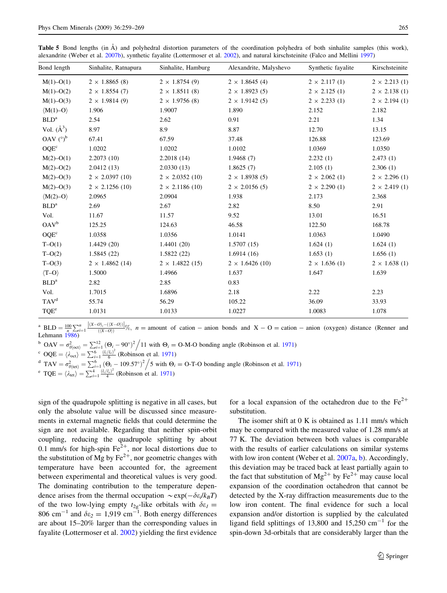<span id="page-6-0"></span>**Table 5** Bond lengths (in A<sup></sup>) and polyhedral distortion parameters of the coordination polyhedra of both sinhalite samples (this work), alexandrite (Weber et al. [2007b](#page-10-0)), synthetic fayalite (Lottermoser et al. [2002](#page-10-0)), and natural kirschsteinite (Falco and Mellini [1997](#page-10-0))

| Bond length              | Sinhalite, Ratnapura   | Sinhalite, Hamburg    | Alexandrite, Malyshevo | Synthetic fayalite   | Kirschsteinite      |
|--------------------------|------------------------|-----------------------|------------------------|----------------------|---------------------|
| $M(1) - O(1)$            | $2 \times 1.8865(8)$   | $2 \times 1.8754(9)$  | $2 \times 1.8645$ (4)  | $2 \times 2.117(1)$  | $2 \times 2.213(1)$ |
| $M(1)-O(2)$              | $2 \times 1.8554(7)$   | $2 \times 1.8511(8)$  | $2 \times 1.8923(5)$   | $2 \times 2.125(1)$  | $2 \times 2.138(1)$ |
| $M(1)-O(3)$              | $2 \times 1.9814(9)$   | $2 \times 1.9756(8)$  | $2 \times 1.9142(5)$   | $2 \times 2.233(1)$  | $2 \times 2.194(1)$ |
| $\langle M(1)-O \rangle$ | 1.906                  | 1.9007                | 1.890                  | 2.152                | 2.182               |
| BLD <sup>a</sup>         | 2.54                   | 2.62                  | 0.91                   | 2.21                 | 1.34                |
| Vol. $(\AA^3)$           | 8.97                   | 8.9                   | 8.87                   | 12.70                | 13.15               |
| OAV $(^\circ)^b$         | 67.41                  | 67.59                 | 37.48                  | 126.88               | 123.69              |
| OQE <sup>c</sup>         | 1.0202                 | 1.0202                | 1.0102                 | 1.0369               | 1.0350              |
| $M(2) - O(1)$            | 2.2073(10)             | 2.2018(14)            | 1.9468(7)              | 2.232(1)             | 2.473(1)            |
| $M(2)-O(2)$              | 2.0412(13)             | 2.0330(13)            | 1.8625(7)              | 2.105(1)             | 2.306(1)            |
| $M(2)-O(3)$              | $2 \times 2.0397(10)$  | $2 \times 2.0352(10)$ | $2 \times 1.8938(5)$   | $2 \times 2.062$ (1) | $2 \times 2.296(1)$ |
| $M(2)-O(3)$              | $2 \times 2.1256(10)$  | $2 \times 2.1186(10)$ | $2 \times 2.0156(5)$   | $2 \times 2.290(1)$  | $2 \times 2.419(1)$ |
| $\langle M(2)-O \rangle$ | 2.0965                 | 2.0904                | 1.938                  | 2.173                | 2.368               |
| BLD <sup>a</sup>         | 2.69                   | 2.67                  | 2.82                   | 8.50                 | 2.91                |
| Vol.                     | 11.67                  | 11.57                 | 9.52                   | 13.01                | 16.51               |
| OAV <sup>b</sup>         | 125.25                 | 124.63                | 46.58                  | 122.50               | 168.78              |
| OQE <sup>c</sup>         | 1.0358                 | 1.0356                | 1.0141                 | 1.0363               | 1.0490              |
| $T-O(1)$                 | 1.4429(20)             | 1.4401(20)            | 1.5707(15)             | 1.624(1)             | 1.624(1)            |
| $T-O(2)$                 | 1.5845(22)             | 1.5822(22)            | 1.6914(16)             | 1.653(1)             | 1.656(1)            |
| $T-O(3)$                 | $2 \times 1.4862$ (14) | $2 \times 1.4822(15)$ | $2 \times 1.6426(10)$  | $2 \times 1.636(1)$  | $2 \times 1.638(1)$ |
| $\langle T-O \rangle$    | 1.5000                 | 1.4966                | 1.637                  | 1.647                | 1.639               |
| BLD <sup>a</sup>         | 2.82                   | 2.85                  | 0.83                   |                      |                     |
| Vol.                     | 1.7015                 | 1.6896                | 2.18                   | 2.22                 | 2.23                |
| TAV <sup>d</sup>         | 55.74                  | 56.29                 | 105.22                 | 36.09                | 33.93               |
| TQE <sup>e</sup>         | 1.0131                 | 1.0133                | 1.0227                 | 1.0083               | 1.078               |

<sup>a</sup> BLD =  $\frac{100}{n} \sum_{i=1}^{n} \frac{\left| (X-O)_i - (\langle X-O \rangle ) \right|}{(\langle X-O \rangle)}$ <sup>a</sup> BLD =  $\frac{100}{n} \sum_{i=1}^{n} \frac{N^2}{(X-O_i)} \frac{(X-O_i)}{(X-O_i)}$ , n = amount of cation – anion bonds and X – O = cation – anion (oxygen) distance (Renner and Lehmann [1986\)](#page-10-0)

 $b$  OAV =  $\sigma_{\theta(\text{oct})}^2 = \sum_{i=1}^{12} (\Theta_i - 90^\circ)^2 / 11$  with  $\Theta_i = \text{O-M-O}$  bonding angle (Robinson et al. [1971\)](#page-10-0)

c OQE =  $\langle \lambda_{\text{oct}} \rangle$  =  $\sum_{i=1}^{6} \frac{(l_i/l_o)^2}{6}$  (Robinson et al. [1971](#page-10-0))

d TAV =  $\sigma_{\theta(tet)}^2 = \sum_{i=1}^6 (\Theta_i - 109.57^\circ)^2 / 5$  with  $\Theta_i = 0$ -T-O bonding angle (Robinson et al. [1971\)](#page-10-0)

e TQE =  $\langle \lambda_{\text{tet}} \rangle = \sum_{i=1}^{4} \frac{(i_i/l_o)^2}{4}$  (Robinson et al. [1971](#page-10-0))

sign of the quadrupole splitting is negative in all cases, but only the absolute value will be discussed since measurements in external magnetic fields that could determine the sign are not available. Regarding that neither spin-orbit coupling, reducing the quadrupole splitting by about 0.1 mm/s for high-spin  $Fe^{2+}$ , nor local distortions due to the substitution of Mg by  $Fe^{2+}$ , nor geometric changes with temperature have been accounted for, the agreement between experimental and theoretical values is very good. The dominating contribution to the temperature dependence arises from the thermal occupation  $\sim \exp(-\delta \epsilon_i / k_B T)$ of the two low-lying empty  $t_{2g}$ -like orbitals with  $\delta \varepsilon_1 =$ 806 cm<sup>-1</sup> and  $\delta \varepsilon_2 = 1,919$  cm<sup>-1</sup>. Both energy differences are about 15–20% larger than the corresponding values in fayalite (Lottermoser et al. [2002\)](#page-10-0) yielding the first evidence for a local expansion of the octahedron due to the  $Fe^{2+}$ substitution.

The isomer shift at 0 K is obtained as 1.11 mm/s which may be compared with the measured value of 1.28 mm/s at 77 K. The deviation between both values is comparable with the results of earlier calculations on similar systems with low iron content (Weber et al. [2007a](#page-10-0), [b](#page-10-0)). Accordingly, this deviation may be traced back at least partially again to the fact that substitution of  $Mg^{2+}$  by Fe<sup>2+</sup> may cause local expansion of the coordination octahedron that cannot be detected by the X-ray diffraction measurements due to the low iron content. The final evidence for such a local expansion and/or distortion is supplied by the calculated ligand field splittings of 13,800 and 15,250  $\text{cm}^{-1}$  for the spin-down 3d-orbitals that are considerably larger than the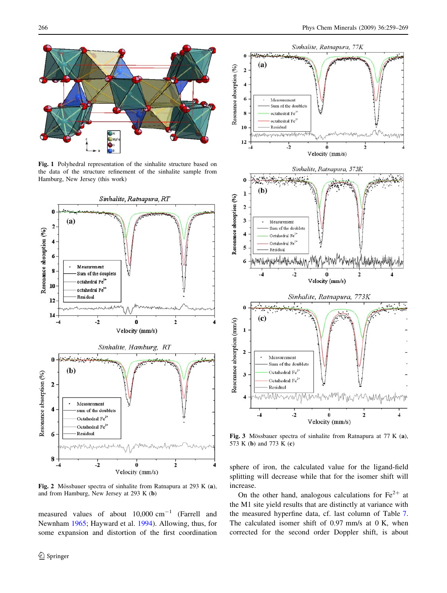<span id="page-7-0"></span>

Fig. 1 Polyhedral representation of the sinhalite structure based on the data of the structure refinement of the sinhalite sample from Hamburg, New Jersey (this work)



Fig. 2 Mössbauer spectra of sinhalite from Ratnapura at 293 K (a), and from Hamburg, New Jersey at 293 K (b)

measured values of about  $10,000 \text{ cm}^{-1}$  (Farrell and Newnham [1965](#page-10-0); Hayward et al. [1994](#page-10-0)). Allowing, thus, for some expansion and distortion of the first coordination



Fig. 3 Mössbauer spectra of sinhalite from Ratnapura at 77 K (a), 573 K (b) and 773 K (c)

sphere of iron, the calculated value for the ligand-field splitting will decrease while that for the isomer shift will increase.

On the other hand, analogous calculations for  $Fe^{2+}$  at the M1 site yield results that are distinctly at variance with the measured hyperfine data, cf. last column of Table [7.](#page-9-0) The calculated isomer shift of 0.97 mm/s at 0 K, when corrected for the second order Doppler shift, is about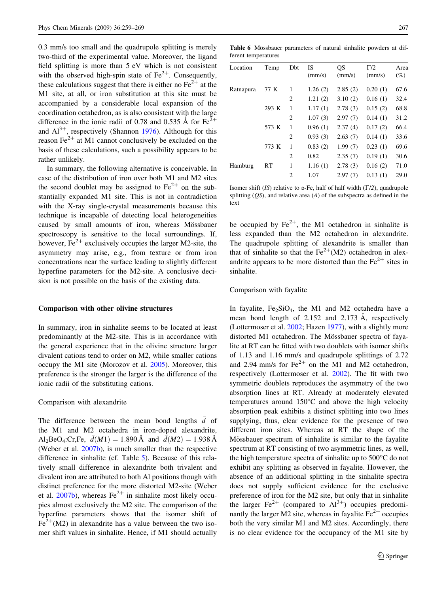<span id="page-8-0"></span>0.3 mm/s too small and the quadrupole splitting is merely two-third of the experimental value. Moreover, the ligand field splitting is more than 5 eV which is not consistent with the observed high-spin state of  $Fe^{2+}$ . Consequently, these calculations suggest that there is either no  $Fe^{2+}$  at the M1 site, at all, or iron substitution at this site must be accompanied by a considerable local expansion of the coordination octahedron, as is also consistent with the large difference in the ionic radii of 0.78 and 0.535 Å for  $Fe^{2+}$ and  $Al^{3+}$ , respectively (Shannon [1976\)](#page-10-0). Although for this reason  $Fe<sup>2+</sup>$  at M1 cannot conclusively be excluded on the basis of these calculations, such a possibility appears to be rather unlikely.

In summary, the following alternative is conceivable. In case of the distribution of iron over both M1 and M2 sites the second doublet may be assigned to  $Fe^{2+}$  on the substantially expanded M1 site. This is not in contradiction with the X-ray single-crystal measurements because this technique is incapable of detecting local heterogeneities caused by small amounts of iron, whereas Mössbauer spectroscopy is sensitive to the local surroundings. If, however,  $Fe^{2+}$  exclusively occupies the larger M2-site, the asymmetry may arise, e.g., from texture or from iron concentrations near the surface leading to slightly different hyperfine parameters for the M2-site. A conclusive decision is not possible on the basis of the existing data.

#### Comparison with other olivine structures

In summary, iron in sinhalite seems to be located at least predominantly at the M2-site. This is in accordance with the general experience that in the olivine structure larger divalent cations tend to order on M2, while smaller cations occupy the M1 site (Morozov et al. [2005](#page-10-0)). Moreover, this preference is the stronger the larger is the difference of the ionic radii of the substituting cations.

# Comparison with alexandrite

The difference between the mean bond lengths  $\overline{d}$  of the M1 and M2 octahedra in iron-doped alexandrite, Al<sub>2</sub>BeO<sub>4</sub>:Cr,Fe,  $\bar{d}(M1) = 1.890 \text{ Å}$  and  $\bar{d}(M2) = 1.938 \text{ Å}$ (Weber et al. [2007b\)](#page-10-0), is much smaller than the respective difference in sinhalite (cf. Table [5](#page-6-0)). Because of this relatively small difference in alexandrite both trivalent and divalent iron are attributed to both Al positions though with distinct preference for the more distorted M2-site (Weber et al.  $2007b$ ), whereas Fe<sup>2+</sup> in sinhalite most likely occupies almost exclusively the M2 site. The comparison of the hyperfine parameters shows that the isomer shift of  $Fe<sup>2+</sup>(M2)$  in alexandrite has a value between the two isomer shift values in sinhalite. Hence, if M1 should actually

Table 6 Mössbauer parameters of natural sinhalite powders at different temperatures

| Location  | Temp  | Dbt | IS<br>(mm/s) | QS<br>(mm/s) | $\Gamma/2$<br>(mm/s) | Area<br>$(\%)$ |
|-----------|-------|-----|--------------|--------------|----------------------|----------------|
| Ratnapura | 77 K  | 1   | 1.26(2)      | 2.85(2)      | 0.20(1)              | 67.6           |
|           |       | 2   | 1.21(2)      | 3.10(2)      | 0.16(1)              | 32.4           |
|           | 293 K | 1   | 1.17(1)      | 2.78(3)      | 0.15(2)              | 68.8           |
|           |       | 2   | 1.07(3)      | 2.97(7)      | 0.14(1)              | 31.2           |
|           | 573 K | 1   | 0.96(1)      | 2.37(4)      | 0.17(2)              | 66.4           |
|           |       | 2   | 0.93(3)      | 2.63(7)      | 0.14(1)              | 33.6           |
|           | 773 K | 1   | 0.83(2)      | 1.99(7)      | 0.23(1)              | 69.6           |
|           |       | 2   | 0.82         | 2.35(7)      | 0.19(1)              | 30.6           |
| Hamburg   | RT    | 1   | 1.16(1)      | 2.78(3)      | 0.16(2)              | 71.0           |
|           |       | 2   | 1.07         | 2.97(7)      | 0.13(1)              | 29.0           |

Isomer shift (IS) relative to  $\alpha$ -Fe, half of half width ( $\Gamma/2$ ), quadrupole splitting  $(QS)$ , and relative area  $(A)$  of the subspectra as defined in the text

be occupied by  $Fe^{2+}$ , the M1 octahedron in sinhalite is less expanded than the M2 octahedron in alexandrite. The quadrupole splitting of alexandrite is smaller than that of sinhalite so that the  $Fe^{2+}(M2)$  octahedron in alexandrite appears to be more distorted than the  $Fe<sup>2+</sup>$  sites in sinhalite.

### Comparison with fayalite

In fayalite,  $Fe<sub>2</sub>SiO<sub>4</sub>$ , the M1 and M2 octahedra have a mean bond length of  $2.152$  and  $2.173$  Å, respectively (Lottermoser et al. [2002;](#page-10-0) Hazen [1977\)](#page-10-0), with a slightly more distorted M1 octahedron. The Mössbauer spectra of fayalite at RT can be fitted with two doublets with isomer shifts of 1.13 and 1.16 mm/s and quadrupole splittings of 2.72 and 2.94 mm/s for  $Fe^{2+}$  on the M1 and M2 octahedron, respectively (Lottermoser et al. [2002\)](#page-10-0). The fit with two symmetric doublets reproduces the asymmetry of the two absorption lines at RT. Already at moderately elevated temperatures around  $150^{\circ}$ C and above the high velocity absorption peak exhibits a distinct splitting into two lines supplying, thus, clear evidence for the presence of two different iron sites. Whereas at RT the shape of the Mössbauer spectrum of sinhalite is similar to the fayalite spectrum at RT consisting of two asymmetric lines, as well, the high temperature spectra of sinhalite up to  $500^{\circ}$ C do not exhibit any splitting as observed in fayalite. However, the absence of an additional splitting in the sinhalite spectra does not supply sufficient evidence for the exclusive preference of iron for the M2 site, but only that in sinhalite the larger  $\text{Fe}^{2+}$  (compared to  $\text{Al}^{3+}$ ) occupies predominantly the larger M2 site, whereas in fayalite  $Fe<sup>2+</sup>$  occupies both the very similar M1 and M2 sites. Accordingly, there is no clear evidence for the occupancy of the M1 site by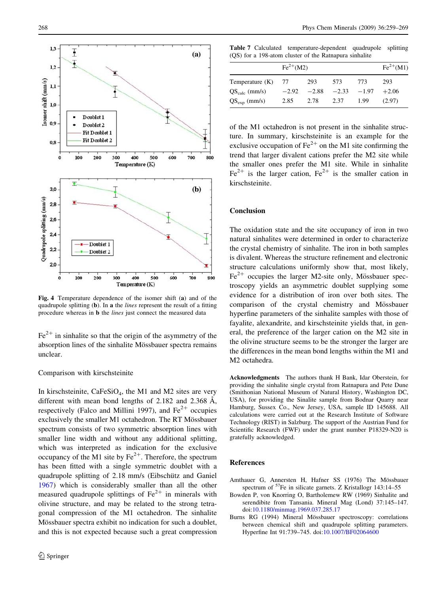<span id="page-9-0"></span>

Fig. 4 Temperature dependence of the isomer shift (a) and of the quadrupole splitting (b). In a the lines represent the result of a fitting procedure whereas in b the lines just connect the measured data

 $Fe<sup>2+</sup>$  in sinhalite so that the origin of the asymmetry of the absorption lines of the sinhalite Mössbauer spectra remains unclear.

# Comparison with kirschsteinite

In kirschsteinite,  $CaFeSiO<sub>4</sub>$ , the M1 and M2 sites are very different with mean bond lengths of 2.182 and 2.368  $\AA$ , respectively (Falco and Millini 1997), and  $Fe<sup>2+</sup>$  occupies exclusively the smaller M1 octahedron. The RT Mössbauer spectrum consists of two symmetric absorption lines with smaller line width and without any additional splitting, which was interpreted as indication for the exclusive occupancy of the M1 site by  $Fe^{2+}$ . Therefore, the spectrum has been fitted with a single symmetric doublet with a quadrupole splitting of 2.18 mm/s (Eibschütz and Ganiel [1967\)](#page-10-0) which is considerably smaller than all the other measured quadrupole splittings of  $Fe^{2+}$  in minerals with olivine structure, and may be related to the strong tetragonal compression of the M1 octahedron. The sinhalite Mössbauer spectra exhibit no indication for such a doublet, and this is not expected because such a great compression

Table 7 Calculated temperature-dependent quadrupole splitting (QS) for a 198-atom cluster of the Ratnapura sinhalite

|                    | $Fe^{2+}(M2)$ |      |                         |       | $Fe^{2+}(M1)$ |
|--------------------|---------------|------|-------------------------|-------|---------------|
| Temperature (K)    | - 77          | 293  | 573                     | - 773 | 293           |
| $QS_{calc}$ (mm/s) | $-2.92$       |      | $-2.88$ $-2.33$ $-1.97$ |       | $+2.06$       |
| $QS_{exp}$ (mm/s)  | 2.85          | 2.78 | 2.37                    | 1.99  | (2.97)        |

of the M1 octahedron is not present in the sinhalite structure. In summary, kirschsteinite is an example for the exclusive occupation of  $\text{Fe}^{2+}$  on the M1 site confirming the trend that larger divalent cations prefer the M2 site while the smaller ones prefer the M1 site. While in sinhalite  $Fe<sup>2+</sup>$  is the larger cation,  $Fe<sup>2+</sup>$  is the smaller cation in kirschsteinite.

### Conclusion

The oxidation state and the site occupancy of iron in two natural sinhalites were determined in order to characterize the crystal chemistry of sinhalite. The iron in both samples is divalent. Whereas the structure refinement and electronic structure calculations uniformly show that, most likely,  $Fe<sup>2+</sup>$  occupies the larger M2-site only, Mössbauer spectroscopy yields an asymmetric doublet supplying some evidence for a distribution of iron over both sites. The comparison of the crystal chemistry and Mössbauer hyperfine parameters of the sinhalite samples with those of fayalite, alexandrite, and kirschsteinite yields that, in general, the preference of the larger cation on the M2 site in the olivine structure seems to be the stronger the larger are the differences in the mean bond lengths within the M1 and M2 octahedra.

Acknowledgments The authors thank H Bank, Idar Oberstein, for providing the sinhalite single crystal from Ratnapura and Pete Dune (Smithonian National Museum of Natural History, Washington DC, USA), for providing the Sinalite sample from Bodnar Quarry near Hamburg, Sussex Co., New Jersey, USA, sample ID 145688. All calculations were carried out at the Research Institute of Software Technology (RIST) in Salzburg. The support of the Austrian Fund for Scientific Research (FWF) under the grant number P18329-N20 is gratefully acknowledged.

# References

- Amthauer G, Annersten H, Hafner SS (1976) The Mössbauer spectrum of <sup>57</sup>Fe in silicate garnets. Z Kristallogr 143:14-55
- Bowden P, von Knorring O, Bartholemew RW (1969) Sinhalite and serendibite from Tansania. Mineral Mag (Lond) 37:145–147. doi[:10.1180/minmag.1969.037.285.17](http://dx.doi.org/10.1180/minmag.1969.037.285.17)
- Burns RG (1994) Mineral Mössbauer spectroscopy: correlations between chemical shift and quadrupole splitting parameters. Hyperfine Int 91:739–745. doi:[10.1007/BF02064600](http://dx.doi.org/10.1007/BF02064600)